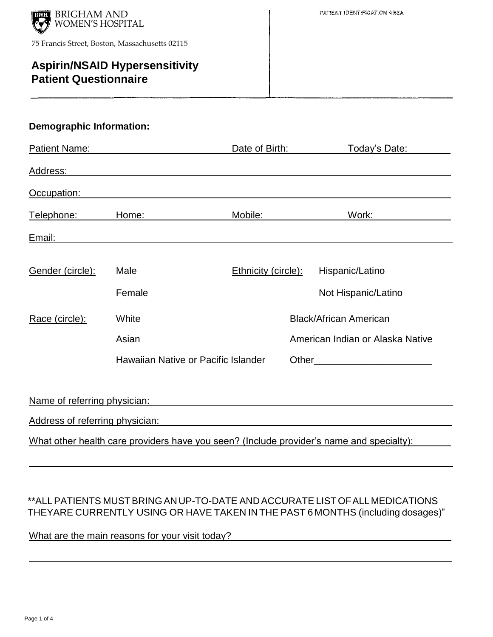

# **Aspirin/NSAID Hypersensitivity Patient Questionnaire**

#### **Demographic Information:**

| <b>Patient Name:</b> | <u> 1989 - Johann Barbara, martxa alemaniar a</u>                                                                                                                                                                                    | Date of Birth:             | <u>Today's Date:</u>             |
|----------------------|--------------------------------------------------------------------------------------------------------------------------------------------------------------------------------------------------------------------------------------|----------------------------|----------------------------------|
| Address:             |                                                                                                                                                                                                                                      |                            |                                  |
| Occupation:          |                                                                                                                                                                                                                                      |                            |                                  |
| Telephone:           | Home:                                                                                                                                                                                                                                | Mobile:                    | Work:                            |
| Email:               | <u>and the state of the state of the state of the state of the state of the state of the state of the state of the state of the state of the state of the state of the state of the state of the state of the state of the state</u> |                            |                                  |
| Gender (circle):     | Male                                                                                                                                                                                                                                 | <b>Ethnicity (circle):</b> | Hispanic/Latino                  |
|                      | Female                                                                                                                                                                                                                               |                            | Not Hispanic/Latino              |
| Race (circle):       | White                                                                                                                                                                                                                                |                            | <b>Black/African American</b>    |
|                      | Asian                                                                                                                                                                                                                                |                            | American Indian or Alaska Native |
|                      | Hawaiian Native or Pacific Islander                                                                                                                                                                                                  |                            |                                  |
|                      |                                                                                                                                                                                                                                      |                            |                                  |
|                      | Name of referring physician: Name of referring physician:                                                                                                                                                                            |                            |                                  |
|                      | Address of referring physician: National Address of referring physician:                                                                                                                                                             |                            |                                  |
|                      | What other health care providers have you seen? (Include provider's name and specialty):                                                                                                                                             |                            |                                  |

## \*\*ALLPATIENTS MUSTBRINGANUP-TO-DATE ANDACCURATE LIST OFALLMEDICATIONS THEYARE CURRENTLY USING OR HAVE TAKEN IN THE PAST 6 MONTHS (including dosages)"

What are the main reasons for your visit today?

 $\overline{a}$ 

 $\overline{a}$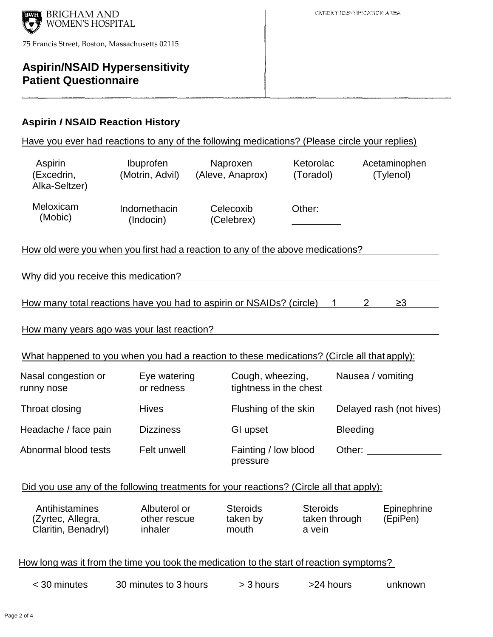

# **Aspirin/NSAID Hypersensitivity Patient Questionnaire**

### **Aspirin** *I* **NSAID Reaction History**

| Have you ever had reactions to any of the following medications? (Please circle your replies) |                                         |                                            |                           |                             |                            |
|-----------------------------------------------------------------------------------------------|-----------------------------------------|--------------------------------------------|---------------------------|-----------------------------|----------------------------|
| Aspirin<br>(Excedrin,<br>Alka-Seltzer)                                                        | <b>Ibuprofen</b><br>(Motrin, Advil)     | Naproxen<br>(Aleve, Anaprox)               | Ketorolac<br>(Toradol)    |                             | Acetaminophen<br>(Tylenol) |
| Meloxicam<br>(Mobic)                                                                          | Indomethacin<br>(Indocin)               | Celecoxib<br>(Celebrex)                    | Other:                    |                             |                            |
| How old were you when you first had a reaction to any of the above medications?               |                                         |                                            |                           |                             |                            |
| Why did you receive this medication?                                                          |                                         |                                            |                           |                             |                            |
| How many total reactions have you had to aspirin or NSAIDs? (circle)                          |                                         |                                            |                           | $\overline{2}$<br>$1 \quad$ | $\geq$ 3                   |
| How many years ago was your last reaction?                                                    |                                         |                                            |                           |                             |                            |
| What happened to you when you had a reaction to these medications? (Circle all that apply):   |                                         |                                            |                           |                             |                            |
| Nasal congestion or<br>runny nose                                                             | Eye watering<br>or redness              | Cough, wheezing,<br>tightness in the chest |                           | Nausea / vomiting           |                            |
| Throat closing                                                                                | <b>Hives</b>                            | Flushing of the skin                       |                           |                             | Delayed rash (not hives)   |
| Headache / face pain                                                                          | <b>Dizziness</b>                        | GI upset                                   |                           | <b>Bleeding</b>             |                            |
| Abnormal blood tests                                                                          | Felt unwell                             | Fainting / low blood<br>pressure           |                           | Other:                      |                            |
| Did you use any of the following treatments for your reactions? (Circle all that apply):      |                                         |                                            |                           |                             |                            |
| Antihistamines<br>(Zyrtec, Allegra,<br>Claritin, Benadryl)                                    | Albuterol or<br>other rescue<br>inhaler | <b>Steroids</b><br>taken by<br>mouth       | <b>Steroids</b><br>a vein | taken through               | Epinephrine<br>(EpiPen)    |
| How long was it from the time you took the medication to the start of reaction symptoms?      |                                         |                                            |                           |                             |                            |
| < 30 minutes                                                                                  | 30 minutes to 3 hours                   | > 3 hours                                  | >24 hours                 |                             | unknown                    |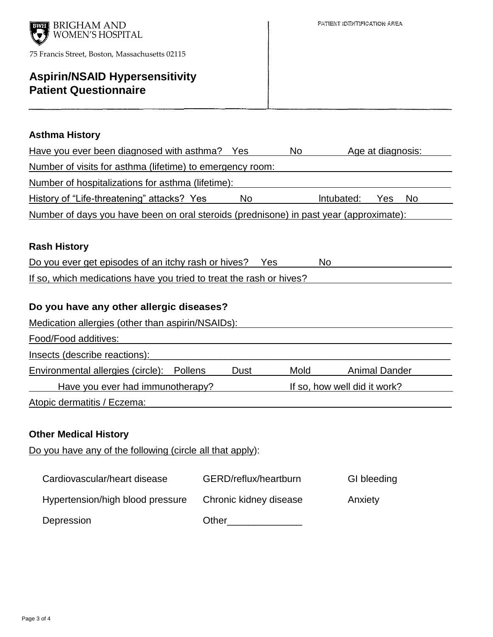

# **Aspirin/NSAID Hypersensitivity Patient Questionnaire**

#### **Asthma History**

| Have you ever been diagnosed with asthma? Yes                                          |    | No         | Age at diagnosis: |     |  |
|----------------------------------------------------------------------------------------|----|------------|-------------------|-----|--|
| Number of visits for asthma (lifetime) to emergency room:                              |    |            |                   |     |  |
| Number of hospitalizations for asthma (lifetime):                                      |    |            |                   |     |  |
| History of "Life-threatening" attacks? Yes                                             | No | Intubated: | Yes.              | No. |  |
| Number of days you have been on oral steroids (prednisone) in past year (approximate): |    |            |                   |     |  |

#### **Rash History**

| Do you ever get episodes of an itchy rash or hives?                 | Yes | <b>No</b> |  |
|---------------------------------------------------------------------|-----|-----------|--|
| If so, which medications have you tried to treat the rash or hives? |     |           |  |

## **Do you have any other allergic diseases?**

| Medication allergies (other than aspirin/NSAIDs): |  |      |                              |                      |  |  |
|---------------------------------------------------|--|------|------------------------------|----------------------|--|--|
| Food/Food additives:                              |  |      |                              |                      |  |  |
| Insects (describe reactions):                     |  |      |                              |                      |  |  |
| Environmental allergies (circle): Pollens         |  | Dust | Mold                         | <b>Animal Dander</b> |  |  |
| Have you ever had immunotherapy?                  |  |      | If so, how well did it work? |                      |  |  |
|                                                   |  |      |                              |                      |  |  |

Atopic dermatitis / Eczema:

#### **Other Medical History**

Do you have any of the following (circle all that apply):

| Cardiovascular/heart disease     | GERD/reflux/heartburn  | GI bleeding |
|----------------------------------|------------------------|-------------|
| Hypertension/high blood pressure | Chronic kidney disease | Anxiety     |
| Depression                       | Other                  |             |